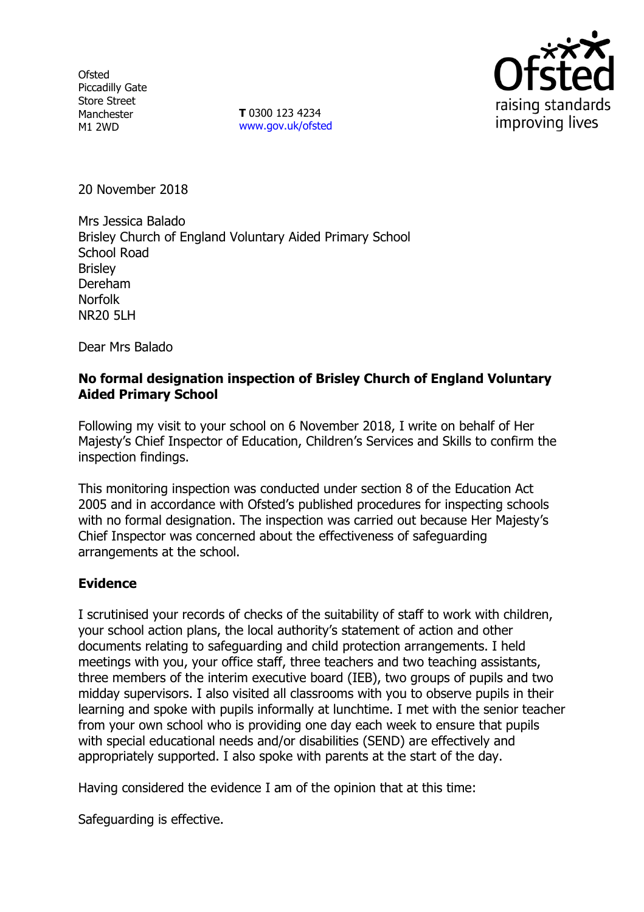**Ofsted** Piccadilly Gate Store Street Manchester M1 2WD

**T** 0300 123 4234 www.gov.uk/ofsted



20 November 2018

Mrs Jessica Balado Brisley Church of England Voluntary Aided Primary School School Road Brisley Dereham Norfolk NR20 5LH

Dear Mrs Balado

#### **No formal designation inspection of Brisley Church of England Voluntary Aided Primary School**

Following my visit to your school on 6 November 2018, I write on behalf of Her Majesty's Chief Inspector of Education, Children's Services and Skills to confirm the inspection findings.

This monitoring inspection was conducted under section 8 of the Education Act 2005 and in accordance with Ofsted's published procedures for inspecting schools with no formal designation. The inspection was carried out because Her Majesty's Chief Inspector was concerned about the effectiveness of safeguarding arrangements at the school.

#### **Evidence**

I scrutinised your records of checks of the suitability of staff to work with children, your school action plans, the local authority's statement of action and other documents relating to safeguarding and child protection arrangements. I held meetings with you, your office staff, three teachers and two teaching assistants, three members of the interim executive board (IEB), two groups of pupils and two midday supervisors. I also visited all classrooms with you to observe pupils in their learning and spoke with pupils informally at lunchtime. I met with the senior teacher from your own school who is providing one day each week to ensure that pupils with special educational needs and/or disabilities (SEND) are effectively and appropriately supported. I also spoke with parents at the start of the day.

Having considered the evidence I am of the opinion that at this time:

Safeguarding is effective.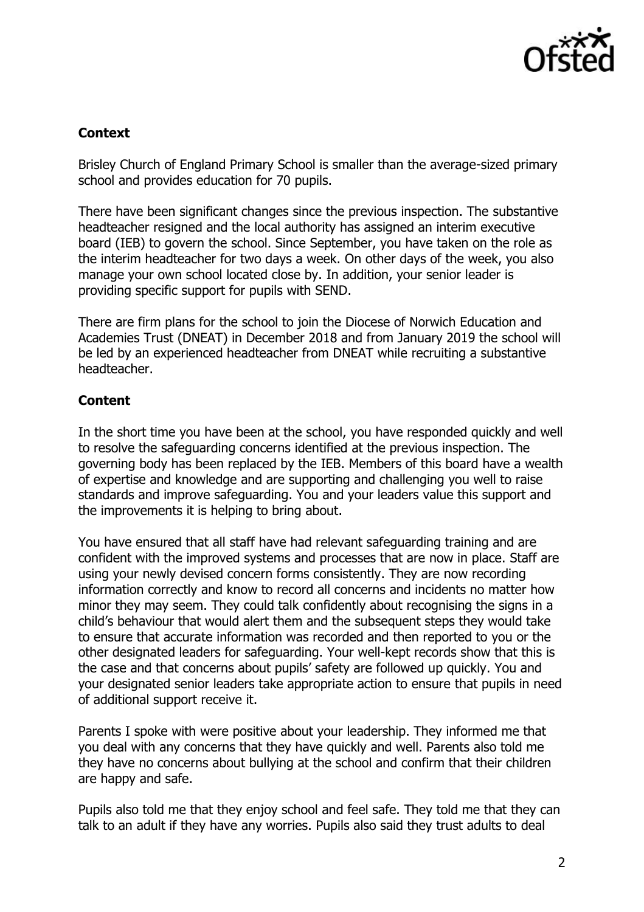

# **Context**

Brisley Church of England Primary School is smaller than the average-sized primary school and provides education for 70 pupils.

There have been significant changes since the previous inspection. The substantive headteacher resigned and the local authority has assigned an interim executive board (IEB) to govern the school. Since September, you have taken on the role as the interim headteacher for two days a week. On other days of the week, you also manage your own school located close by. In addition, your senior leader is providing specific support for pupils with SEND.

There are firm plans for the school to join the Diocese of Norwich Education and Academies Trust (DNEAT) in December 2018 and from January 2019 the school will be led by an experienced headteacher from DNEAT while recruiting a substantive headteacher.

## **Content**

In the short time you have been at the school, you have responded quickly and well to resolve the safeguarding concerns identified at the previous inspection. The governing body has been replaced by the IEB. Members of this board have a wealth of expertise and knowledge and are supporting and challenging you well to raise standards and improve safeguarding. You and your leaders value this support and the improvements it is helping to bring about.

You have ensured that all staff have had relevant safeguarding training and are confident with the improved systems and processes that are now in place. Staff are using your newly devised concern forms consistently. They are now recording information correctly and know to record all concerns and incidents no matter how minor they may seem. They could talk confidently about recognising the signs in a child's behaviour that would alert them and the subsequent steps they would take to ensure that accurate information was recorded and then reported to you or the other designated leaders for safeguarding. Your well-kept records show that this is the case and that concerns about pupils' safety are followed up quickly. You and your designated senior leaders take appropriate action to ensure that pupils in need of additional support receive it.

Parents I spoke with were positive about your leadership. They informed me that you deal with any concerns that they have quickly and well. Parents also told me they have no concerns about bullying at the school and confirm that their children are happy and safe.

Pupils also told me that they enjoy school and feel safe. They told me that they can talk to an adult if they have any worries. Pupils also said they trust adults to deal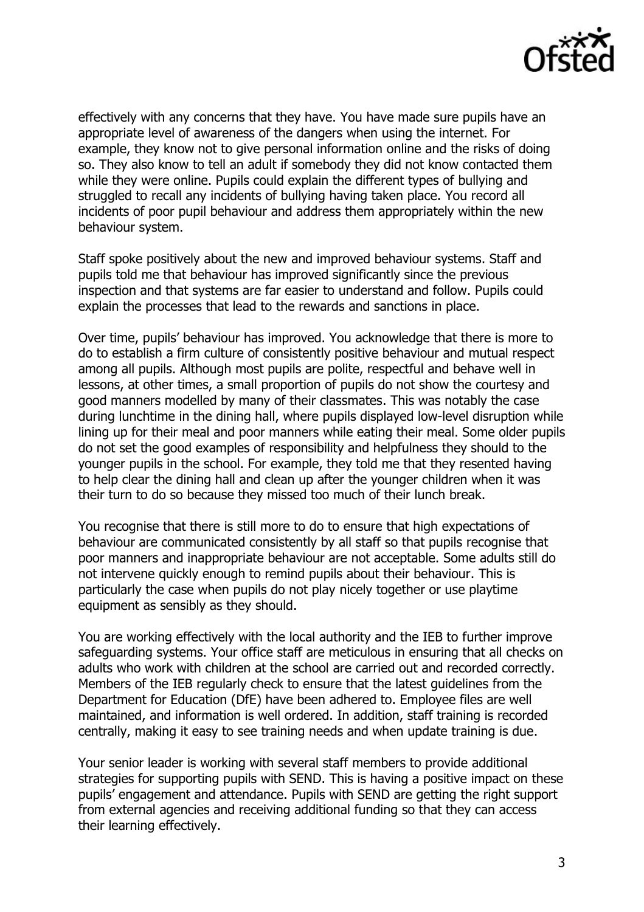

effectively with any concerns that they have. You have made sure pupils have an appropriate level of awareness of the dangers when using the internet. For example, they know not to give personal information online and the risks of doing so. They also know to tell an adult if somebody they did not know contacted them while they were online. Pupils could explain the different types of bullying and struggled to recall any incidents of bullying having taken place. You record all incidents of poor pupil behaviour and address them appropriately within the new behaviour system.

Staff spoke positively about the new and improved behaviour systems. Staff and pupils told me that behaviour has improved significantly since the previous inspection and that systems are far easier to understand and follow. Pupils could explain the processes that lead to the rewards and sanctions in place.

Over time, pupils' behaviour has improved. You acknowledge that there is more to do to establish a firm culture of consistently positive behaviour and mutual respect among all pupils. Although most pupils are polite, respectful and behave well in lessons, at other times, a small proportion of pupils do not show the courtesy and good manners modelled by many of their classmates. This was notably the case during lunchtime in the dining hall, where pupils displayed low-level disruption while lining up for their meal and poor manners while eating their meal. Some older pupils do not set the good examples of responsibility and helpfulness they should to the younger pupils in the school. For example, they told me that they resented having to help clear the dining hall and clean up after the younger children when it was their turn to do so because they missed too much of their lunch break.

You recognise that there is still more to do to ensure that high expectations of behaviour are communicated consistently by all staff so that pupils recognise that poor manners and inappropriate behaviour are not acceptable. Some adults still do not intervene quickly enough to remind pupils about their behaviour. This is particularly the case when pupils do not play nicely together or use playtime equipment as sensibly as they should.

You are working effectively with the local authority and the IEB to further improve safeguarding systems. Your office staff are meticulous in ensuring that all checks on adults who work with children at the school are carried out and recorded correctly. Members of the IEB regularly check to ensure that the latest guidelines from the Department for Education (DfE) have been adhered to. Employee files are well maintained, and information is well ordered. In addition, staff training is recorded centrally, making it easy to see training needs and when update training is due.

Your senior leader is working with several staff members to provide additional strategies for supporting pupils with SEND. This is having a positive impact on these pupils' engagement and attendance. Pupils with SEND are getting the right support from external agencies and receiving additional funding so that they can access their learning effectively.